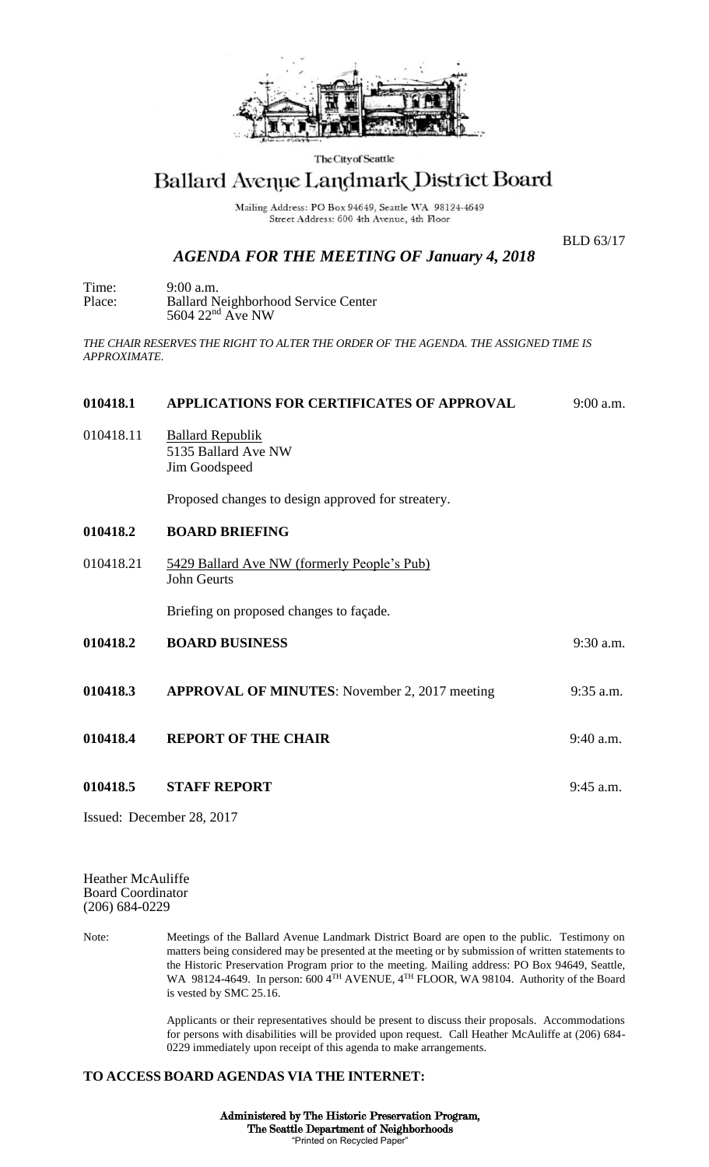

The City of Seattle

## Ballard Avenue Landmark District Board

Mailing Address: PO Box 94649, Seattle WA 98124-4649 Street Address: 600 4th Avenue, 4th Floor

BLD 63/17

## *AGENDA FOR THE MEETING OF January 4, 2018*

Time: 9:00 a.m. Place: Ballard Neighborhood Service Center  $5604$   $22<sup>nd</sup>$  Ave NW

*THE CHAIR RESERVES THE RIGHT TO ALTER THE ORDER OF THE AGENDA. THE ASSIGNED TIME IS APPROXIMATE.*

| 010418.1  | APPLICATIONS FOR CERTIFICATES OF APPROVAL                         | 9:00 a.m.   |
|-----------|-------------------------------------------------------------------|-------------|
| 010418.11 | <b>Ballard Republik</b><br>5135 Ballard Ave NW<br>Jim Goodspeed   |             |
|           | Proposed changes to design approved for streatery.                |             |
| 010418.2  | <b>BOARD BRIEFING</b>                                             |             |
| 010418.21 | 5429 Ballard Ave NW (formerly People's Pub)<br><b>John Geurts</b> |             |
|           | Briefing on proposed changes to façade.                           |             |
| 010418.2  | <b>BOARD BUSINESS</b>                                             | $9:30$ a.m. |
| 010418.3  | <b>APPROVAL OF MINUTES:</b> November 2, 2017 meeting              | $9:35$ a.m. |
| 010418.4  | <b>REPORT OF THE CHAIR</b>                                        | $9:40$ a.m. |
| 010418.5  | <b>STAFF REPORT</b>                                               | $9:45$ a.m. |
|           |                                                                   |             |

Issued: December 28, 2017

Heather McAuliffe Board Coordinator (206) 684-0229

Note: Meetings of the Ballard Avenue Landmark District Board are open to the public. Testimony on matters being considered may be presented at the meeting or by submission of written statements to the Historic Preservation Program prior to the meeting. Mailing address: PO Box 94649, Seattle, WA 98124-4649. In person: 600 4<sup>TH</sup> AVENUE, 4<sup>TH</sup> FLOOR, WA 98104. Authority of the Board is vested by SMC 25.16.

> Applicants or their representatives should be present to discuss their proposals. Accommodations for persons with disabilities will be provided upon request. Call Heather McAuliffe at (206) 684- 0229 immediately upon receipt of this agenda to make arrangements.

## **TO ACCESS BOARD AGENDAS VIA THE INTERNET:**